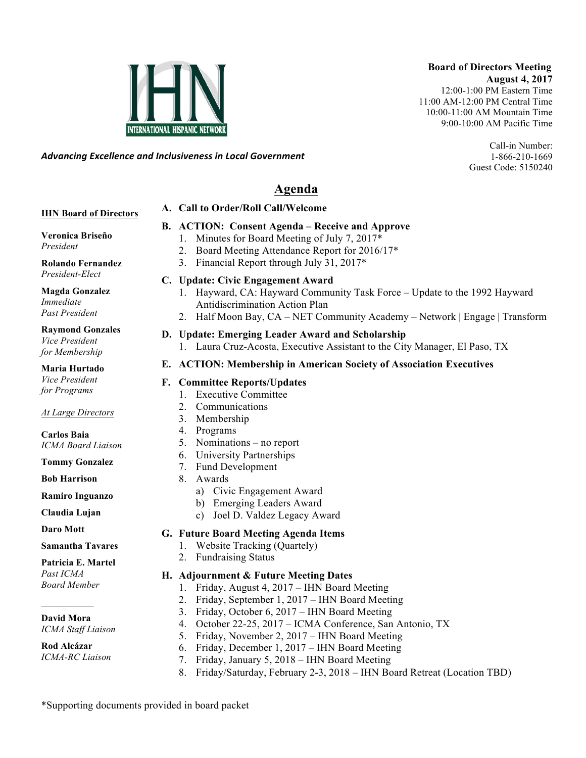### **Board of Directors Meeting August 4, 2017**

12:00-1:00 PM Eastern Time 11:00 AM-12:00 PM Central Time 10:00-11:00 AM Mountain Time 9:00-10:00 AM Pacific Time

> Call-in Number: 1-866-210-1669 Guest Code: 5150240

*Advancing)Excellence)and)Inclusiveness)in)Local)Government*

### **Agenda**

#### **A. Call to Order/Roll Call/Welcome**

#### **IHN Board of Directors**

#### **B. ACTION: Consent Agenda – Receive and Approve**

- 1. Minutes for Board Meeting of July 7, 2017\*
- 2. Board Meeting Attendance Report for 2016/17\*
- 3. Financial Report through July 31, 2017\*

#### **Rolando Fernandez** *President-Elect*

**Veronica Briseño**

*President*

**Magda Gonzalez** *Immediate Past President*

#### **Raymond Gonzales**

*Vice President for Membership*

#### **Maria Hurtado** *Vice President*

*for Programs*

#### *At Large Directors*

**Carlos Baia** *ICMA Board Liaison*

**Tommy Gonzalez**

**Bob Harrison**

**Ramiro Inguanzo**

**Claudia Lujan**

**Daro Mott**

#### **Samantha Tavares**

### **Patricia E. Martel**

*Past ICMA Board Member*

### $\mathcal{L}_\text{max}$ **David Mora**

*ICMA Staff Liaison*

#### **Rod Alcázar** *ICMA-RC Liaison*

- **C. Update: Civic Engagement Award**
	- 1. Hayward, CA: Hayward Community Task Force Update to the 1992 Hayward Antidiscrimination Action Plan
	- 2. Half Moon Bay, CA NET Community Academy Network | Engage | Transform

# **D. Update: Emerging Leader Award and Scholarship**

1. Laura Cruz-Acosta, Executive Assistant to the City Manager, El Paso, TX

#### **E. ACTION: Membership in American Society of Association Executives**

#### **F. Committee Reports/Updates**

- 1. Executive Committee
- 2. Communications
- 3. Membership
- 4. Programs
- 5. Nominations no report
- 6. University Partnerships
- 7. Fund Development
- 8. Awards
	- a) Civic Engagement Award
	- b) Emerging Leaders Award
	- c) Joel D. Valdez Legacy Award

#### **G. Future Board Meeting Agenda Items**

- 1. Website Tracking (Quartely)
- 2. Fundraising Status

#### **H. Adjournment & Future Meeting Dates**

- 1. Friday, August 4, 2017 IHN Board Meeting
- 2. Friday, September 1, 2017 IHN Board Meeting
- 3. Friday, October 6, 2017 IHN Board Meeting
- 4. October 22-25, 2017 ICMA Conference, San Antonio, TX
- 5. Friday, November 2, 2017 IHN Board Meeting
- 6. Friday, December 1, 2017 IHN Board Meeting
- 7. Friday, January 5, 2018 IHN Board Meeting
- 8. Friday/Saturday, February 2-3, 2018 IHN Board Retreat (Location TBD)

\*Supporting documents provided in board packet

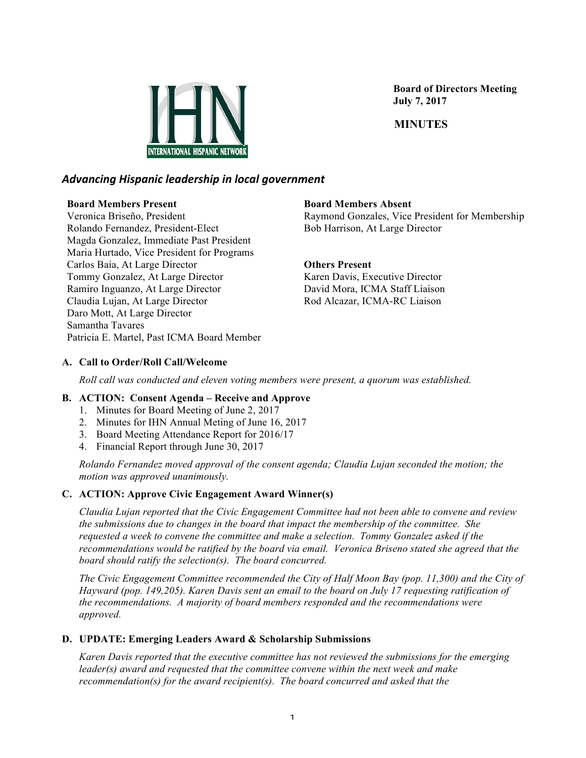

 **Board of Directors Meeting July 7, 2017**

 **MINUTES**

#### *Advancing)Hispanic)leadership)in)local)government*

#### **Board Members Present**

Veronica Briseño, President Rolando Fernandez, President-Elect Magda Gonzalez, Immediate Past President Maria Hurtado, Vice President for Programs Carlos Baia, At Large Director Tommy Gonzalez, At Large Director Ramiro Inguanzo, At Large Director Claudia Lujan, At Large Director Daro Mott, At Large Director Samantha Tavares Patricia E. Martel, Past ICMA Board Member

#### **Board Members Absent**

Raymond Gonzales, Vice President for Membership Bob Harrison, At Large Director

#### **Others Present**

Karen Davis, Executive Director David Mora, ICMA Staff Liaison Rod Alcazar, ICMA-RC Liaison

#### **A. Call to Order/Roll Call/Welcome**

*Roll call was conducted and eleven voting members were present, a quorum was established.*

#### **B. ACTION: Consent Agenda – Receive and Approve**

- 1. Minutes for Board Meeting of June 2, 2017
- 2. Minutes for IHN Annual Meting of June 16, 2017
- 3. Board Meeting Attendance Report for 2016/17
- 4. Financial Report through June 30, 2017

*Rolando Fernandez moved approval of the consent agenda; Claudia Lujan seconded the motion; the motion was approved unanimously.*

#### **C. ACTION: Approve Civic Engagement Award Winner(s)**

*Claudia Lujan reported that the Civic Engagement Committee had not been able to convene and review the submissions due to changes in the board that impact the membership of the committee. She requested a week to convene the committee and make a selection. Tommy Gonzalez asked if the recommendations would be ratified by the board via email. Veronica Briseno stated she agreed that the board should ratify the selection(s). The board concurred.*

*The Civic Engagement Committee recommended the City of Half Moon Bay (pop. 11,300) and the City of Hayward (pop. 149,205). Karen Davis sent an email to the board on July 17 requesting ratification of the recommendations. A majority of board members responded and the recommendations were approved.*

#### **D. UPDATE: Emerging Leaders Award & Scholarship Submissions**

*Karen Davis reported that the executive committee has not reviewed the submissions for the emerging leader(s) award and requested that the committee convene within the next week and make recommendation(s) for the award recipient(s). The board concurred and asked that the*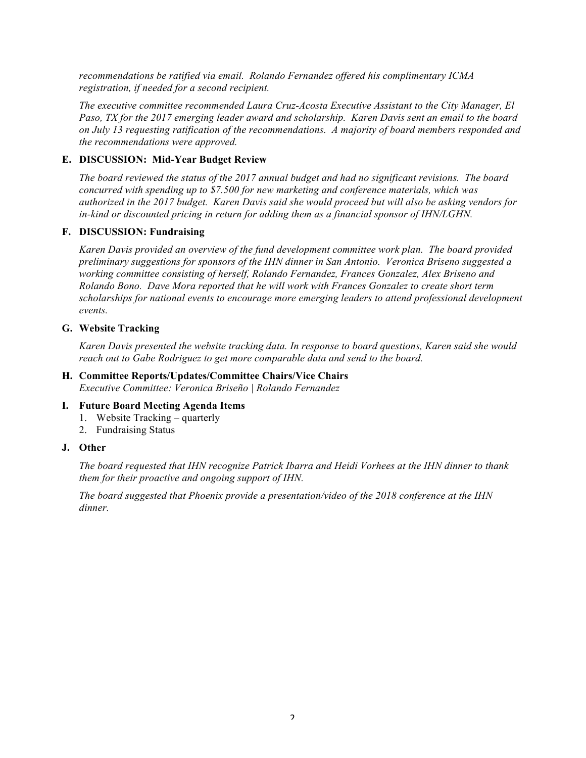*recommendations be ratified via email. Rolando Fernandez offered his complimentary ICMA registration, if needed for a second recipient.* 

*The executive committee recommended Laura Cruz-Acosta Executive Assistant to the City Manager, El Paso, TX for the 2017 emerging leader award and scholarship. Karen Davis sent an email to the board on July 13 requesting ratification of the recommendations. A majority of board members responded and the recommendations were approved.*

#### **E. DISCUSSION: Mid-Year Budget Review**

*The board reviewed the status of the 2017 annual budget and had no significant revisions. The board concurred with spending up to \$7.500 for new marketing and conference materials, which was authorized in the 2017 budget. Karen Davis said she would proceed but will also be asking vendors for in-kind or discounted pricing in return for adding them as a financial sponsor of IHN/LGHN.*

#### **F. DISCUSSION: Fundraising**

*Karen Davis provided an overview of the fund development committee work plan. The board provided preliminary suggestions for sponsors of the IHN dinner in San Antonio. Veronica Briseno suggested a working committee consisting of herself, Rolando Fernandez, Frances Gonzalez, Alex Briseno and Rolando Bono. Dave Mora reported that he will work with Frances Gonzalez to create short term scholarships for national events to encourage more emerging leaders to attend professional development events.* 

#### **G. Website Tracking**

*Karen Davis presented the website tracking data. In response to board questions, Karen said she would reach out to Gabe Rodriguez to get more comparable data and send to the board.*

#### **H. Committee Reports/Updates/Committee Chairs/Vice Chairs**

*Executive Committee: Veronica Briseño | Rolando Fernandez*

#### **I. Future Board Meeting Agenda Items**

- 1. Website Tracking *–* quarterly
- 2. Fundraising Status

#### **J. Other**

*The board requested that IHN recognize Patrick Ibarra and Heidi Vorhees at the IHN dinner to thank them for their proactive and ongoing support of IHN.*

*The board suggested that Phoenix provide a presentation/video of the 2018 conference at the IHN dinner.*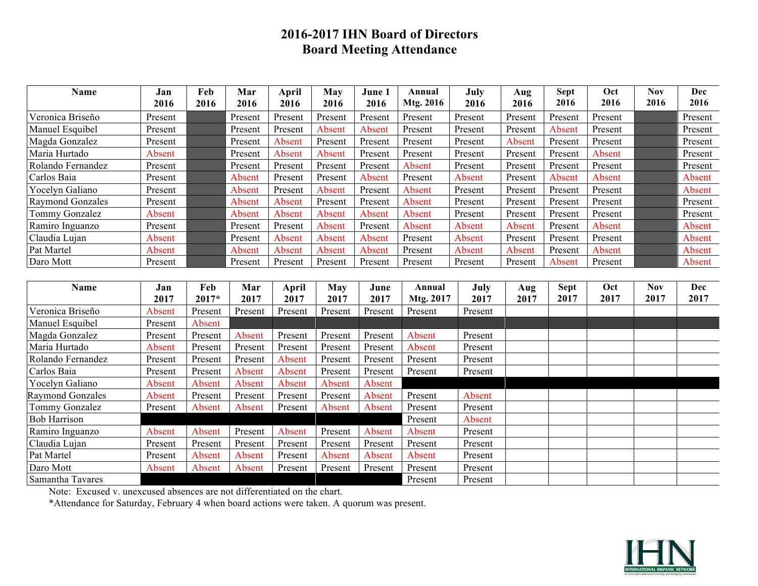### **2016-2017 IHN Board of Directors Board Meeting Attendance**

| Name                    | Jan     | Feb     | Mar     | April   | May     | June 1  | Annual    | July    | Aug     | <b>Sept</b> | Oct     | <b>Nov</b> | <b>Dec</b> |
|-------------------------|---------|---------|---------|---------|---------|---------|-----------|---------|---------|-------------|---------|------------|------------|
|                         | 2016    | 2016    | 2016    | 2016    | 2016    | 2016    | Mtg. 2016 | 2016    | 2016    | 2016        | 2016    | 2016       | 2016       |
| Veronica Briseño        | Present |         | Present | Present | Present | Present | Present   | Present | Present | Present     | Present |            | Present    |
| Manuel Esquibel         | Present |         | Present | Present | Absent  | Absent  | Present   | Present | Present | Absent      | Present |            | Present    |
| Magda Gonzalez          | Present |         | Present | Absent  | Present | Present | Present   | Present | Absent  | Present     | Present |            | Present    |
| Maria Hurtado           | Absent  |         | Present | Absent  | Absent  | Present | Present   | Present | Present | Present     | Absent  |            | Present    |
| Rolando Fernandez       | Present |         | Present | Present | Present | Present | Absent    | Present | Present | Present     | Present |            | Present    |
| Carlos Baia             | Present |         | Absent  | Present | Present | Absent  | Present   | Absent  | Present | Absent      | Absent  |            | Absent     |
| Yocelyn Galiano         | Present |         | Absent  | Present | Absent  | Present | Absent    | Present | Present | Present     | Present |            | Absent     |
| <b>Raymond Gonzales</b> | Present |         | Absent  | Absent  | Present | Present | Absent    | Present | Present | Present     | Present |            | Present    |
| Tommy Gonzalez          | Absent  |         | Absent  | Absent  | Absent  | Absent  | Absent    | Present | Present | Present     | Present |            | Present    |
| Ramiro Inguanzo         | Present |         | Present | Present | Absent  | Present | Absent    | Absent  | Absent  | Present     | Absent  |            | Absent     |
| Claudia Lujan           | Absent  |         | Present | Absent  | Absent  | Absent  | Present   | Absent  | Present | Present     | Present |            | Absent     |
| Pat Martel              | Absent  |         | Absent  | Absent  | Absent  | Absent  | Present   | Absent  | Absent  | Present     | Absent  |            | Absent     |
| Daro Mott               | Present |         | Present | Present | Present | Present | Present   | Present | Present | Absent      | Present |            | Absent     |
|                         |         |         |         |         |         |         |           |         |         |             |         |            |            |
| Name                    | Jan     | Feb     | Mar     | April   | May     | June    | Annual    | July    | Aug     | <b>Sept</b> | Oct     | <b>Nov</b> | Dec        |
|                         | 2017    | $2017*$ | 2017    | 2017    | 2017    | 2017    | Mtg. 2017 | 2017    | 2017    | 2017        | 2017    | 2017       | 2017       |
| Veronica Briseño        | Absent  | Present | Present | Present | Present | Present | Present   | Present |         |             |         |            |            |
| Manuel Esquibel         | Present | Absent  |         |         |         |         |           |         |         |             |         |            |            |
| Magda Gonzalez          | Present | Present | Absent  | Present | Present | Present | Absent    | Present |         |             |         |            |            |
| Maria Hurtado           | Absent  | Present | Present | Present | Present | Present | Absent    | Present |         |             |         |            |            |
| Rolando Fernandez       | Present | Present | Present | Absent  | Present | Present | Present   | Present |         |             |         |            |            |
| Carlos Baia             | Present | Present | Absent  | Absent  | Present | Present | Present   | Present |         |             |         |            |            |
| Yocelyn Galiano         | Absent  | Absent  | Absent  | Absent  | Absent  | Absent  |           |         |         |             |         |            |            |
| <b>Raymond Gonzales</b> | Absent  | Present | Present | Present | Present | Absent  | Present   | Absent  |         |             |         |            |            |
| Tommy Gonzalez          | Present | Absent  | Absent  | Present | Absent  | Absent  | Present   | Present |         |             |         |            |            |
| <b>Bob Harrison</b>     |         |         |         |         |         |         | Present   | Absent  |         |             |         |            |            |
| Ramiro Inguanzo         | Absent  | Absent  | Present | Absent  | Present | Absent  | Absent    | Present |         |             |         |            |            |
| Claudia Lujan           | Present | Present | Present | Present | Present | Present | Present   | Present |         |             |         |            |            |
| Pat Martel              | Present | Absent  | Absent  | Present | Absent  | Absent  | Absent    | Present |         |             |         |            |            |
| Daro Mott               | Absent  | Absent  | Absent  | Present | Present | Present | Present   | Present |         |             |         |            |            |
| Samantha Tavares        |         |         |         |         |         |         | Present   | Present |         |             |         |            |            |

Note: Excused v. unexcused absences are not differentiated on the chart.

\*Attendance for Saturday, February 4 when board actions were taken. A quorum was present.

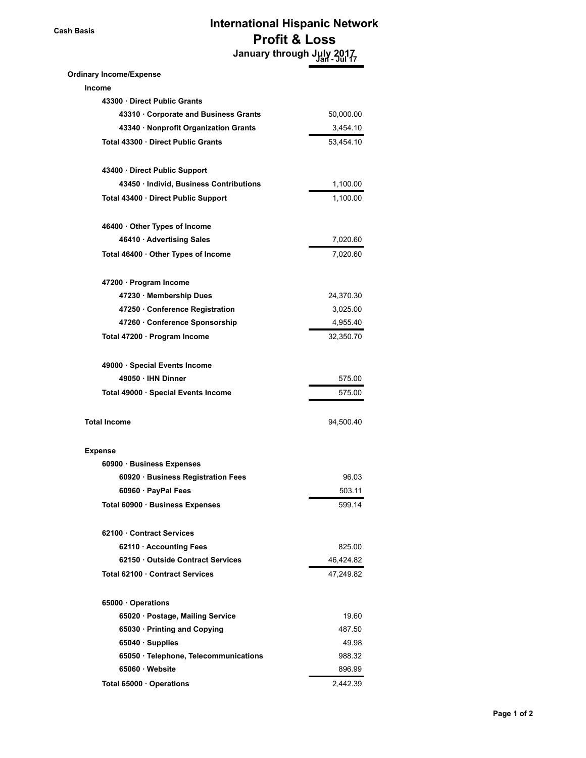## **Cash Basis International Hispanic Network Profit & Loss January through July 2017 Jan - Jul 17**

| 50,000.00 |
|-----------|
| 3,454.10  |
| 53,454.10 |
|           |
| 1,100.00  |
| 1,100.00  |
|           |
| 7,020.60  |
| 7,020.60  |
|           |
|           |
| 24,370.30 |
| 3,025.00  |
| 4,955.40  |
| 32,350.70 |
|           |
| 575.00    |
| 575.00    |
| 94,500.40 |
|           |
|           |
| 96.03     |
| 503.11    |
| 599.14    |
|           |
| 825.00    |
| 46,424.82 |
| 47,249.82 |
|           |
| 19.60     |
| 487.50    |
| 49.98     |
| 988.32    |
| 896.99    |
| 2,442.39  |
|           |